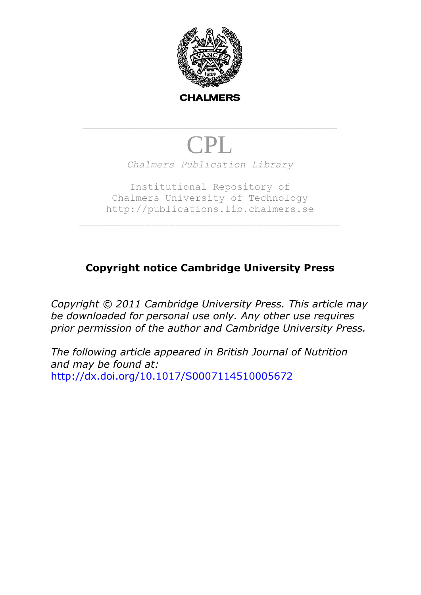

# CPL *Chalmers Publication Library*

\_\_\_\_\_\_\_\_\_\_\_\_\_\_\_\_\_\_\_\_\_\_\_\_\_\_\_\_\_\_\_\_\_\_\_\_\_\_\_\_\_\_\_\_\_

Institutional Repository of Chalmers University of Technology http://publications.lib.chalmers.se

## **Copyright notice Cambridge University Press**

*Copyright © 2011 Cambridge University Press. This article may be downloaded for personal use only. Any other use requires prior permission of the author and Cambridge University Press.*

*The following article appeared in British Journal of Nutrition and may be found at:* <http://dx.doi.org/10.1017/S0007114510005672>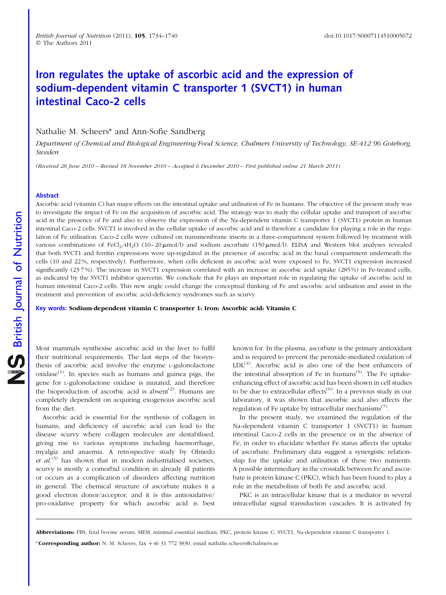### Iron regulates the uptake of ascorbic acid and the expression of sodium-dependent vitamin C transporter 1 (SVCT1) in human intestinal Caco-2 cells

Nathalie M. Scheers\* and Ann-Sofie Sandberg

Department of Chemical and Biological Engineering/Food Science, Chalmers University of Technology, SE-412 96 Goteborg, Sweden

(Received 28 June 2010 – Revised 18 November 2010 – Accepted 6 December 2010 – First published online 21 March 2011)

#### Abstract

Ascorbic acid (vitamin C) has major effects on the intestinal uptake and utilisation of Fe in humans. The objective of the present study was to investigate the impact of Fe on the acquisition of ascorbic acid. The strategy was to study the cellular uptake and transport of ascorbic acid in the presence of Fe and also to observe the expression of the Na-dependent vitamin C transporter 1 (SVCT1) protein in human intestinal Caco-2 cells. SVCT1 is involved in the cellular uptake of ascorbic acid and is therefore a candidate for playing a role in the regulation of Fe utilisation. Caco-2 cells were cultured on transmembrane inserts in a three-compartment system followed by treatment with various combinations of FeCl<sub>2</sub>.4H<sub>2</sub>O (10–20  $\mu$ mol/l) and sodium ascorbate (150  $\mu$ mol/l). ELISA and Western blot analyses revealed that both SVCT1 and ferritin expressions were up-regulated in the presence of ascorbic acid in the basal compartment underneath the cells (10 and 22 %, respectively). Furthermore, when cells deficient in ascorbic acid were exposed to Fe, SVCT1 expression increased significantly (23.7%). The increase in SVCT1 expression correlated with an increase in ascorbic acid uptake (285%) in Fe-treated cells, as indicated by the SVCT1 inhibitor quercetin. We conclude that Fe plays an important role in regulating the uptake of ascorbic acid in human intestinal Caco-2 cells. This new angle could change the conceptual thinking of Fe and ascorbic acid utilisation and assist in the treatment and prevention of ascorbic acid-deficiency syndromes such as scurvy.

Key words: Sodium-dependent vitamin C transporter 1: Iron: Ascorbic acid: Vitamin C

Most mammals synthesise ascorbic acid in the liver to fulfil their nutritional requirements. The last steps of the biosynthesis of ascorbic acid involve the enzyme L-gulonolactone  $oxidase<sup>(1)</sup>$ . In species such as humans and guinea pigs, the gene for L-gulonolactone oxidase is mutated, and therefore the bioproduction of ascorbic acid is absent<sup>(2)</sup>. Humans are completely dependent on acquiring exogenous ascorbic acid from the diet.

Ascorbic acid is essential for the synthesis of collagen in humans, and deficiency of ascorbic acid can lead to the disease scurvy where collagen molecules are destabilised, giving rise to various symptoms including haemorrhage, myalgia and anaemia. A retrospective study by Olmedo et  $al^{(3)}$  has shown that in modern industrialised societies, scurvy is mostly a comorbid condition in already ill patients or occurs as a complication of disorders affecting nutrition in general. The chemical structure of ascorbate makes it a good electron donor/acceptor, and it is this antioxidative/ pro-oxidative property for which ascorbic acid is best

known for. In the plasma, ascorbate is the primary antioxidant and is required to prevent the peroxide-mediated oxidation of  $LDL<sup>(4)</sup>$ . Ascorbic acid is also one of the best enhancers of the intestinal absorption of Fe in humans<sup> $(5)$ </sup>. The Fe uptakeenhancing effect of ascorbic acid has been shown in cell studies to be due to extracellular effects<sup> $(6)$ </sup>. In a previous study in our laboratory, it was shown that ascorbic acid also affects the regulation of Fe uptake by intracellular mechanisms<sup> $(7)$ </sup>.

In the present study, we examined the regulation of the Na-dependent vitamin C transporter 1 (SVCT1) in human intestinal Caco-2 cells in the presence or in the absence of Fe, in order to elucidate whether Fe status affects the uptake of ascorbate. Preliminary data suggest a synergistic relationship for the uptake and utilisation of these two nutrients. A possible intermediary in the crosstalk between Fe and ascorbate is protein kinase C (PKC), which has been found to play a role in the metabolism of both Fe and ascorbic acid.

PKC is an intracellular kinase that is a mediator in several intracellular signal transduction cascades. It is activated by

\* Corresponding author: N. M. Scheers,  $fax + 46$  31 772 3830, email nathalie.scheers@chalmers.se

Abbreviations: FBS, fetal bovine serum; MEM, minimal essential medium; PKC, protein kinase C; SVCT1, Na-dependent vitamin C transporter 1.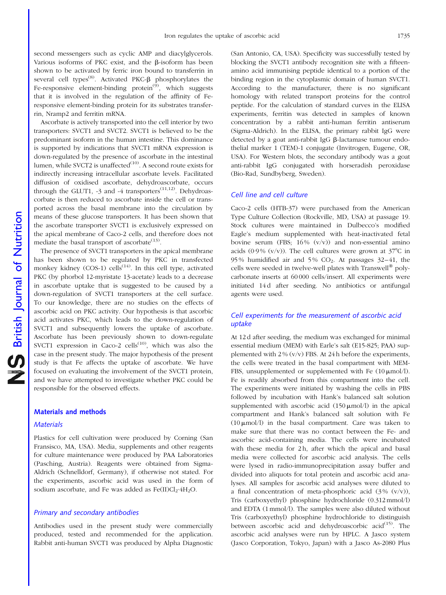second messengers such as cyclic AMP and diacylglycerols. Various isoforms of PKC exist, and the  $\beta$ -isoform has been shown to be activated by ferric iron bound to transferrin in several cell types<sup>(8)</sup>. Activated PKC- $\beta$  phosphorylates the Fe-responsive element-binding protein $^{(9)}$ , which suggests that it is involved in the regulation of the affinity of Feresponsive element-binding protein for its substrates transferrin, Nramp2 and ferritin mRNA.

Ascorbate is actively transported into the cell interior by two transporters: SVCT1 and SVCT2. SVCT1 is believed to be the predominant isoform in the human intestine. This dominance is supported by indications that SVCT1 mRNA expression is down-regulated by the presence of ascorbate in the intestinal lumen, while SVCT2 is unaffected $(10)$ . A second route exists for indirectly increasing intracellular ascorbate levels. Facilitated diffusion of oxidised ascorbate, dehydroascorbate, occurs through the GLUT1,  $-3$  and  $-4$  transporters<sup> $(11,12)$ </sup>. Dehydroascorbate is then reduced to ascorbate inside the cell or transported across the basal membrane into the circulation by means of these glucose transporters. It has been shown that the ascorbate transporter SVCT1 is exclusively expressed on the apical membrane of Caco-2 cells, and therefore does not mediate the basal transport of ascorbate<sup> $(13)$ </sup>.

The presence of SVCT1 transporters in the apical membrane has been shown to be regulated by PKC in transfected monkey kidney (COS-1) cells<sup> $(14)$ </sup>. In this cell type, activated PKC (by phorbol 12-myristate 13-acetate) leads to a decrease in ascorbate uptake that is suggested to be caused by a down-regulation of SVCT1 transporters at the cell surface. To our knowledge, there are no studies on the effects of ascorbic acid on PKC activity. Our hypothesis is that ascorbic acid activates PKC, which leads to the down-regulation of SVCT1 and subsequently lowers the uptake of ascorbate. Ascorbate has been previously shown to down-regulate SVCT1 expression in Caco-2 cells $^{(10)}$ , which was also the case in the present study. The major hypothesis of the present study is that Fe affects the uptake of ascorbate. We have focused on evaluating the involvement of the SVCT1 protein, and we have attempted to investigate whether PKC could be responsible for the observed effects.

#### Materials and methods

#### **Materials**

Plastics for cell cultivation were produced by Corning (San Fransisco, MA, USA). Media, supplements and other reagents for culture maintenance were produced by PAA Laboratories (Pasching, Austria). Reagents were obtained from Sigma-Aldrich (Schnelldorf, Germany), if otherwise not stated. For the experiments, ascorbic acid was used in the form of sodium ascorbate, and Fe was added as  $Fe(II)Cl<sub>2</sub>·4H<sub>2</sub>O$ .

#### Primary and secondary antibodies

Antibodies used in the present study were commercially produced, tested and recommended for the application. Rabbit anti-human SVCT1 was produced by Alpha Diagnostic (San Antonio, CA, USA). Specificity was successfully tested by blocking the SVCT1 antibody recognition site with a fifteenamino acid immunising peptide identical to a portion of the binding region in the cytoplasmic domain of human SVCT1. According to the manufacturer, there is no significant homology with related transport proteins for the control peptide. For the calculation of standard curves in the ELISA experiments, ferritin was detected in samples of known concentration by a rabbit anti-human ferritin antiserum (Sigma-Aldrich). In the ELISA, the primary rabbit IgG were detected by a goat anti-rabbit IgG  $\beta$ -lactamase tumour endothelial marker 1 (TEM)-1 conjugate (Invitrogen, Eugene, OR, USA). For Western blots, the secondary antibody was a goat anti-rabbit IgG conjugated with horseradish peroxidase (Bio-Rad, Sundbyberg, Sweden).

#### Cell line and cell culture

Caco-2 cells (HTB-37) were purchased from the American Type Culture Collection (Rockville, MD, USA) at passage 19. Stock cultures were maintained in Dulbecco's modified Eagle's medium supplemented with heat-inactivated fetal bovine serum (FBS;  $16\%$  (v/v)) and non-essential amino acids (0.9%  $(v/v)$ ). The cell cultures were grown at  $37^{\circ}$ C in 95% humidified air and 5%  $CO<sub>2</sub>$ . At passages 32–41, the cells were seeded in twelve-well plates with Transwell<sup>®</sup> polycarbonate inserts at 60 000 cells/insert. All experiments were initiated 14 d after seeding. No antibiotics or antifungal agents were used.

### Cell experiments for the measurement of ascorbic acid uptake

At 12 d after seeding, the medium was exchanged for minimal essential medium (MEM) with Earle's salt (E15-825; PAA) supplemented with  $2\%$  (v/v) FBS. At 24 h before the experiments, the cells were treated in the basal compartment with MEM-FBS, unsupplemented or supplemented with Fe  $(10 \mu \text{mol/L})$ . Fe is readily absorbed from this compartment into the cell. The experiments were initiated by washing the cells in PBS followed by incubation with Hank's balanced salt solution supplemented with ascorbic acid  $(150 \,\mu\text{mol/l})$  in the apical compartment and Hank's balanced salt solution with Fe (10 $\mu$ mol/l) in the basal compartment. Care was taken to make sure that there was no contact between the Fe- and ascorbic acid-containing media. The cells were incubated with these media for 2h, after which the apical and basal media were collected for ascorbic acid analysis. The cells were lysed in radio-immunoprecipitation assay buffer and divided into aliquots for total protein and ascorbic acid analyses. All samples for ascorbic acid analyses were diluted to a final concentration of meta-phosphoric acid  $(3\% (v/v))$ , Tris (carboxyethyl) phosphine hydrochloride (0.312 mmol/l) and EDTA (1 mmol/l). The samples were also diluted without Tris (carboxyethyl) phosphine hydrochloride to distinguish between ascorbic acid and dehydroascorbic acid $(15)$ . The ascorbic acid analyses were run by HPLC. A Jasco system (Jasco Corporation, Tokyo, Japan) with a Jasco As-2080 Plus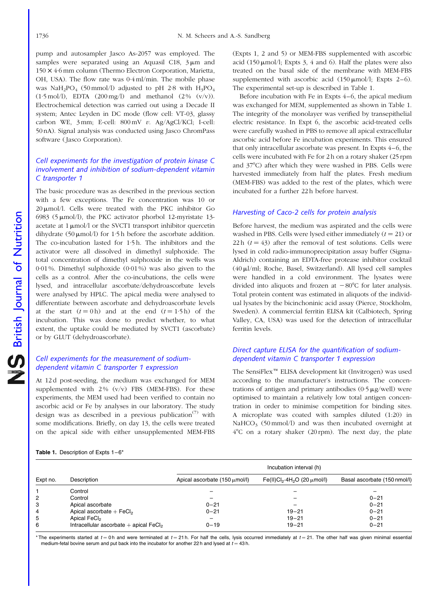<span id="page-3-0"></span>pump and autosampler Jasco As-2057 was employed. The samples were separated using an Aquasil C18,  $3 \mu m$  and 150 *£* 4·6 mm column (Thermo Electron Corporation, Marietta, OH, USA). The flow rate was 0·4 ml/min. The mobile phase was NaH<sub>2</sub>PO<sub>4</sub> (50 mmol/l) adjusted to pH 2·8 with  $H_3PO_4$  $(1.5 \text{ mol/l})$ , EDTA  $(200 \text{ mg/l})$  and methanol  $(2\% (v/v))$ . Electrochemical detection was carried out using a Decade II system; Antec Leyden in DC mode (flow cell: VT-03, glassy carbon WE, 3 mm; E-cell: 800 mV v. Ag/AgCl/KCl; I-cell: 50 nA). Signal analysis was conducted using Jasco ChromPass software (Jasco Corporation).

#### Cell experiments for the investigation of protein kinase C involvement and inhibition of sodium-dependent vitamin C transporter 1

The basic procedure was as described in the previous section with a few exceptions. The Fe concentration was 10 or 20  $\mu$ mol/l. Cells were treated with the PKC inhibitor Go 6983 (5  $\mu$ mol/l), the PKC activator phorbol 12-myristate 13acetate at  $1 \mu \text{mol}/l$  or the SVCT1 transport inhibitor quercetin dihydrate (50  $\mu$ mol/l) for 1·5 h before the ascorbate addition. The co-incubation lasted for 1·5 h. The inhibitors and the activator were all dissolved in dimethyl sulphoxide. The total concentration of dimethyl sulphoxide in the wells was 0·01 %. Dimethyl sulphoxide (0·01 %) was also given to the cells as a control. After the co-incubations, the cells were lysed, and intracellular ascorbate/dehydroascorbate levels were analysed by HPLC. The apical media were analysed to differentiate between ascorbate and dehydroascorbate levels at the start  $(t = 0 h)$  and at the end  $(t = 1.5 h)$  of the incubation. This was done to predict whether, to what extent, the uptake could be mediated by SVCT1 (ascorbate) or by GLUT (dehydroascorbate).

#### Cell experiments for the measurement of sodiumdependent vitamin C transporter 1 expression

At 12 d post-seeding, the medium was exchanged for MEM supplemented with  $2\%$  (v/v) FBS (MEM-FBS). For these experiments, the MEM used had been verified to contain no ascorbic acid or Fe by analyses in our laboratory. The study design was as described in a previous publication<sup> $(7)$ </sup> with some modifications. Briefly, on day 13, the cells were treated on the apical side with either unsupplemented MEM-FBS

(Expts 1, 2 and 5) or MEM-FBS supplemented with ascorbic acid (150  $\mu$ mol/l; Expts 3, 4 and 6). Half the plates were also treated on the basal side of the membrane with MEM-FBS supplemented with ascorbic acid  $(150 \,\text{\mu} \text{mol/l}; \text{Expts } 2-6)$ . The experimental set-up is described in Table 1.

Before incubation with Fe in Expts 4–6, the apical medium was exchanged for MEM, supplemented as shown in Table 1. The integrity of the monolayer was verified by transepithelial electric resistance. In Expt 6, the ascorbic acid-treated cells were carefully washed in PBS to remove all apical extracellular ascorbic acid before Fe incubation experiments. This ensured that only intracellular ascorbate was present. In Expts 4–6, the cells were incubated with Fe for 2 h on a rotary shaker (25 rpm and 37°C) after which they were washed in PBS. Cells were harvested immediately from half the plates. Fresh medium (MEM-FBS) was added to the rest of the plates, which were incubated for a further 22 h before harvest.

#### Harvesting of Caco-2 cells for protein analysis

Before harvest, the medium was aspirated and the cells were washed in PBS. Cells were lysed either immediately  $(t = 21)$  or 22 h  $(t = 43)$  after the removal of test solutions. Cells were lysed in cold radio-immunoprecipitation assay buffer (Sigma-Aldrich) containing an EDTA-free protease inhibitor cocktail (40ml/ml; Roche, Basel, Switzerland). All lysed cell samples were handled in a cold environment. The lysates were divided into aliquots and frozen at  $-80^{\circ}$ C for later analysis. Total protein content was estimated in aliquots of the individual lysates by the bicinchoninic acid assay (Pierce, Stockholm, Sweden). A commercial ferritin ELISA kit (Calbiotech, Spring Valley, CA, USA) was used for the detection of intracellular ferritin levels.

#### Direct capture ELISA for the quantification of sodiumdependent vitamin C transporter 1 expression

The SensiFlex<sup>™</sup> ELISA development kit (Invitrogen) was used according to the manufacturer's instructions. The concentrations of antigen and primary antibodies  $(0.5 \mu g/well)$  were optimised to maintain a relatively low total antigen concentration in order to minimise competition for binding sites. A microplate was coated with samples diluted (1:20) in NaHCO<sub>3</sub> (50 mmol/l) and was then incubated overnight at  $4^{\circ}$ C on a rotary shaker (20 rpm). The next day, the plate

|  | Table 1. Description of Expts 1-6* |  |  |
|--|------------------------------------|--|--|
|  |                                    |  |  |

|                |                                                      | Incubation interval (h)                   |                                                           |                              |  |  |
|----------------|------------------------------------------------------|-------------------------------------------|-----------------------------------------------------------|------------------------------|--|--|
| Expt no.       | Description                                          | Apical ascorbate $(150 \mu \text{mol/l})$ | Fe(II)Cl <sub>2</sub> .4H <sub>2</sub> O (20 $\mu$ mol/I) | Basal ascorbate (150 nmol/l) |  |  |
|                | Control                                              |                                           |                                                           |                              |  |  |
| $\overline{c}$ | Control                                              |                                           |                                                           | $0 - 21$                     |  |  |
| 3              | Apical ascorbate                                     | $0 - 21$                                  |                                                           | $0 - 21$                     |  |  |
| $\overline{4}$ | Apical ascorbate $+$ FeCl <sub>2</sub>               | $0 - 21$                                  | $19 - 21$                                                 | $0 - 21$                     |  |  |
| 5              | Apical FeCl <sub>2</sub>                             |                                           | $19 - 21$                                                 | $0 - 21$                     |  |  |
| 6              | Intracellular ascorbate $+$ apical FeCl <sub>2</sub> | $0 - 19$                                  | $19 - 21$                                                 | $0 - 21$                     |  |  |

\* The experiments started at  $t = 0$ h and were terminated at  $t = 21$  h. For half the cells, lysis occurred immediately at  $t = 21$ . The other half was given minimal essential medium-fetal bovine serum and put back into the incubator for another 22 h and lysed at  $t = 43$  h.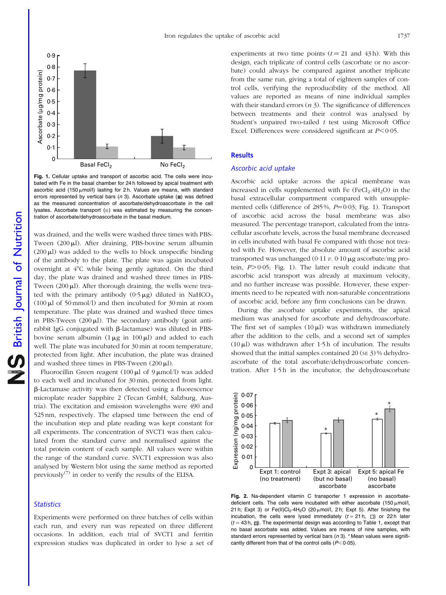<span id="page-4-0"></span>

Fig. 1. Cellular uptake and transport of ascorbic acid. The cells were incubated with Fe in the basal chamber for 24 h followed by apical treatment with ascorbic acid (150  $\mu$ mol/l) lasting for 2 h. Values are means, with standard errors represented by vertical bars ( $n$  3). Ascorbate uptake ( $\blacksquare$ ) was defined as the measured concentration of ascorbate/dehydroascorbate in the cell lysates. Ascorbate transport  $(\blacksquare)$  was estimated by measuring the concentration of ascorbate/dehydroascorbate in the basal medium.

was drained, and the wells were washed three times with PBS-Tween  $(200 \mu l)$ . After draining, PBS-bovine serum albumin  $(200 \mu l)$  was added to the wells to block unspecific binding of the antibody to the plate. The plate was again incubated overnight at  $4^{\circ}$ C while being gently agitated. On the third day, the plate was drained and washed three times in PBS-Tween  $(200 \mu l)$ . After thorough draining, the wells were treated with the primary antibody  $(0.5 \mu g)$  diluted in NaHCO<sub>3</sub>  $(100 \mu l \text{ of } 50 \text{ mmol/l})$  and then incubated for 30 min at room temperature. The plate was drained and washed three times in PBS-Tween  $(200 \mu l)$ . The secondary antibody (goat antirabbit IgG conjugated with  $\beta$ -lactamase) was diluted in PBSbovine serum albumin  $(1 \mu g \text{ in } 100 \mu l)$  and added to each well. The plate was incubated for 30 min at room temperature, protected from light. After incubation, the plate was drained and washed three times in PBS-Tween  $(200 \,\mu\text{L})$ .

Fluorocillin Green reagent (100  $\mu$ l of 9  $\mu$ mol/l) was added to each well and incubated for 30 min, protected from light. b-Lactamase activity was then detected using a fluorescence microplate reader Sapphire 2 (Tecan GmbH, Salzburg, Austria). The excitation and emission wavelengths were 490 and 525 nm, respectively. The elapsed time between the end of the incubation step and plate reading was kept constant for all experiments. The concentration of SVCT1 was then calculated from the standard curve and normalised against the total protein content of each sample. All values were within the range of the standard curve. SVCT1 expression was also analysed by Western blot using the same method as reported previously<sup> $(7)$ </sup> in order to verify the results of the ELISA.

#### **Statistics**

Experiments were performed on three batches of cells within each run, and every run was repeated on three different occasions. In addition, each trial of SVCT1 and ferritin expression studies was duplicated in order to lyse a set of experiments at two time points  $(t = 21$  and 43h). With this design, each triplicate of control cells (ascorbate or no ascorbate) could always be compared against another triplicate from the same run, giving a total of eighteen samples of control cells, verifying the reproducibility of the method. All values are reported as means of nine individual samples with their standard errors  $(n 3)$ . The significance of differences between treatments and their control was analysed by Student's unpaired two-tailed  $t$  test using Microsoft Office Excel. Differences were considered significant at  $P < 0.05$ .

#### **Results**

#### Ascorbic acid uptake

Ascorbic acid uptake across the apical membrane was increased in cells supplemented with Fe  $(FeCl<sub>2</sub>.4H<sub>2</sub>O)$  in the basal extracellular compartment compared with unsupplemented cells (difference of 285%,  $P=0.03$ ; Fig. 1). Transport of ascorbic acid across the basal membrane was also measured. The percentage transport, calculated from the intracellular ascorbate levels, across the basal membrane decreased in cells incubated with basal Fe compared with those not treated with Fe. However, the absolute amount of ascorbic acid transported was unchanged (0.11  $v$ . 0.10  $\mu$ g ascorbate/mg protein,  $P > 0.05$ ; Fig. 1). The latter result could indicate that ascorbic acid transport was already at maximum velocity, and no further increase was possible. However, these experiments need to be repeated with non-saturable concentrations of ascorbic acid, before any firm conclusions can be drawn.

During the ascorbate uptake experiments, the apical medium was analysed for ascorbate and dehydroascorbate. The first set of samples  $(10 \mu)$  was withdrawn immediately after the addition to the cells, and a second set of samples (10 $\mu$ l) was withdrawn after 1·5h of incubation. The results showed that the initial samples contained 20 (se 3) % dehydroascorbate of the total ascorbate/dehydroascorbate concentration. After 1.5h in the incubator, the dehydroascorbate



Fig. 2. Na-dependent vitamin C transporter 1 expression in ascorbatedeficient cells. The cells were incubated with either ascorbate (150  $\mu$ mol/l, 21 h; Expt 3) or Fe(II)Cl<sub>2</sub>·4H<sub>2</sub>O (20  $\mu$ mol/l, 2 h; Expt 5). After finishing the incubation, the cells were lysed immediately  $(t = 21 h, \Box)$  or 22 h later  $(t = 43 h, \Box)$ . The experimental design was according to [Table 1,](#page-3-0) except that no basal ascorbate was added. Values are means of nine samples, with standard errors represented by vertical bars  $(n 3)$ . \* Mean values were significantly different from that of the control cells  $(P<0.05)$ .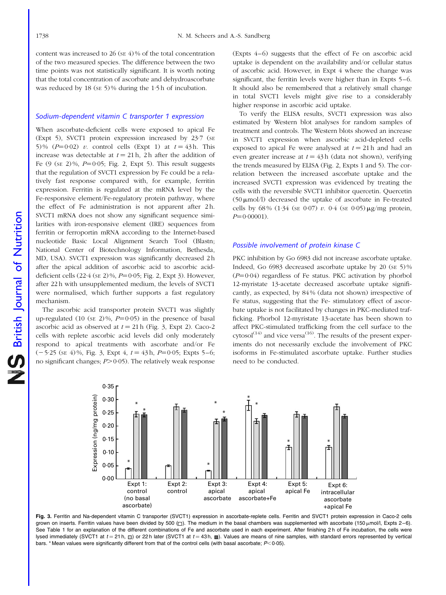<span id="page-5-0"></span>content was increased to 26 ( $SE$  4) % of the total concentration of the two measured species. The difference between the two time points was not statistically significant. It is worth noting that the total concentration of ascorbate and dehydroascorbate was reduced by 18 (se 5)% during the 1.5 h of incubation.

#### Sodium-dependent vitamin C transporter 1 expression

When ascorbate-deficient cells were exposed to apical Fe (Expt 5), SVCT1 protein expression increased by 23·7 (SE 5)%  $(P=0.02)$  v. control cells (Expt 1) at  $t = 43$  h. This increase was detectable at  $t = 21$  h, 2 h after the addition of Fe  $(9$  (se  $2)\%$ ,  $P=0.05$ ; [Fig. 2,](#page-4-0) Expt 5). This result suggests that the regulation of SVCT1 expression by Fe could be a relatively fast response compared with, for example, ferritin expression. Ferritin is regulated at the mRNA level by the Fe-responsive element/Fe-regulatory protein pathway, where the effect of Fe administration is not apparent after 2h. SVCT1 mRNA does not show any significant sequence similarities with iron-responsive element (IRE) sequences from ferritin or ferroportin mRNA according to the Internet-based nucleotide Basic Local Alignment Search Tool (Blastn; National Center of Biotechnology Information, Bethesda, MD, USA). SVCT1 expression was significantly decreased 2 h after the apical addition of ascorbic acid to ascorbic aciddeficient cells  $(22.4 \text{ (sE 2)}\%, P=0.05; \text{Fig. 2, Expt 3}).$  However, after 22 h with unsupplemented medium, the levels of SVCT1 were normalised, which further supports a fast regulatory mechanism.

The ascorbic acid transporter protein SVCT1 was slightly up-regulated (10 (se 2)%,  $P=0.05$ ) in the presence of basal ascorbic acid as observed at  $t = 21$  h (Fig. 3, Expt 2). Caco-2 cells with replete ascorbic acid levels did only moderately respond to apical treatments with ascorbate and/or Fe  $(-5.25 \text{ (s} \text{E} 4)\%$ , Fig. 3, Expt 4,  $t = 43 \text{ h}$ ,  $P = 0.05$ ; Expts 5–6; no significant changes;  $P > 0.05$ ). The relatively weak response

(Expts 4–6) suggests that the effect of Fe on ascorbic acid uptake is dependent on the availability and/or cellular status of ascorbic acid. However, in Expt 4 where the change was significant, the ferritin levels were higher than in Expts 5–6. It should also be remembered that a relatively small change in total SVCT1 levels might give rise to a considerably higher response in ascorbic acid uptake.

To verify the ELISA results, SVCT1 expression was also estimated by Western blot analyses for random samples of treatment and controls. The Western blots showed an increase in SVCT1 expression when ascorbic acid-depleted cells exposed to apical Fe were analysed at  $t = 21$  h and had an even greater increase at  $t = 43$  h (data not shown), verifying the trends measured by ELISA ([Fig. 2,](#page-4-0) Expts 1 and 5). The correlation between the increased ascorbate uptake and the increased SVCT1 expression was evidenced by treating the cells with the reversible SVCT1 inhibitor quercetin. Quercetin  $(50 \mu \text{mol/l})$  decreased the uptake of ascorbate in Fe-treated cells by 68% (1.34 (SE 0.07) v. 0.4 (SE 0.05)  $\mu$ g/mg protein,  $P=0.00001$ ).

#### Possible involvement of protein kinase C

PKC inhibition by Go 6983 did not increase ascorbate uptake. Indeed, Go 6983 decreased ascorbate uptake by 20 (SE 5) %  $(P=0.04)$  regardless of Fe status. PKC activation by phorbol 12-myristate 13-acetate decreased ascorbate uptake significantly, as expected, by 84 % (data not shown) irrespective of Fe status, suggesting that the Fe- stimulatory effect of ascorbate uptake is not facilitated by changes in PKC-mediated trafficking. Phorbol 12-myristate 13-acetate has been shown to affect PKC-stimulated trafficking from the cell surface to the  $cytosol<sup>(14)</sup>$  and vice versa<sup>(16)</sup>. The results of the present experiments do not necessarily exclude the involvement of PKC isoforms in Fe-stimulated ascorbate uptake. Further studies need to be conducted.



Fig. 3. Ferritin and Na-dependent vitamin C transporter (SVCT1) expression in ascorbate-replete cells. Ferritin and SVCT1 protein expression in Caco-2 cells grown on inserts. Ferritin values have been divided by 500 ( $\Box$ ). The medium in the basal chambers was supplemented with ascorbate (150  $\mu$ mol/l, Expts 2–6). See [Table 1](#page-3-0) for an explanation of the different combinations of Fe and ascorbate used in each experiment. After finishing 2 h of Fe incubation, the cells were lysed immediately (SVCT1 at  $t = 21$  h,  $\Box$ ) or 22 h later (SVCT1 at  $t = 43$  h,  $\Box$ ). Values are means of nine samples, with standard errors represented by vertical bars. \* Mean values were significantly different from that of the control cells (with basal ascorbate;  $P < 0.05$ ).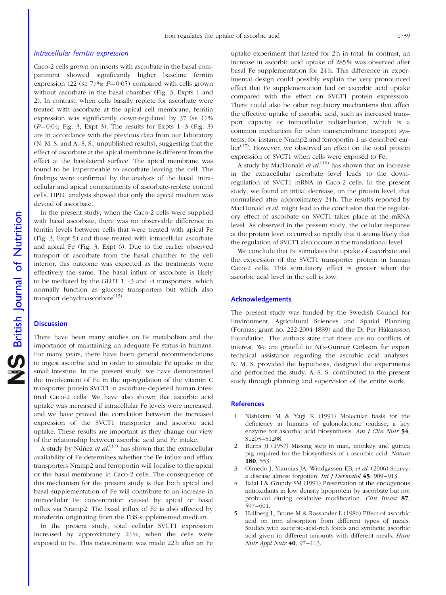#### Intracellular ferritin expression

Caco-2 cells grown on inserts with ascorbate in the basal compartment showed significantly higher baseline ferritin expression (22 (se 7)%;  $P=0.05$ ) compared with cells grown without ascorbate in the basal chamber [\(Fig. 3](#page-5-0), Expts 1 and 2). In contrast, when cells basally replete for ascorbate were treated with ascorbate at the apical cell membrane, ferritin expression was significantly down-regulated by  $37$  (se 1)%  $(P=0.04;$  [Fig. 3](#page-5-0), Expt 3). The results for Expts  $1-3$  ([Fig. 3](#page-5-0)) are in accordance with the previous data from our laboratory (N. M. S. and A.-S. S., unpublished results), suggesting that the effect of ascorbate at the apical membrane is different from the effect at the basolateral surface. The apical membrane was found to be impermeable to ascorbate leaving the cell. The findings were confirmed by the analysis of the basal, intracellular and apical compartments of ascorbate-replete control cells. HPLC analysis showed that only the apical medium was devoid of ascorbate.

In the present study, when the Caco-2 cells were supplied with basal ascorbate, there was no observable difference in ferritin levels between cells that were treated with apical Fe ([Fig. 3](#page-5-0), Expt 5) and those treated with intracellular ascorbate and apical Fe [\(Fig. 3](#page-5-0), Expt 6). Due to the earlier observed transport of ascorbate from the basal chamber to the cell interior, this outcome was expected as the treatments were effectively the same. The basal influx of ascorbate is likely to be mediated by the GLUT 1, -3 and -4 transporters, which normally function as glucose transporters but which also transport dehydroascorbate<sup>(13)</sup>.

#### **Discussion**

There have been many studies on Fe metabolism and the importance of maintaining an adequate Fe status in humans. For many years, there have been general recommendations to ingest ascorbic acid in order to stimulate Fe uptake in the small intestine. In the present study, we have demonstrated the involvement of Fe in the up-regulation of the vitamin C transporter protein SVCT1 in ascorbate-depleted human intestinal Caco-2 cells. We have also shown that ascorbic acid uptake was increased if intracellular Fe levels were increased, and we have proved the correlation between the increased expression of the SVCT1 transporter and ascorbic acid uptake. These results are important as they change our view of the relationship between ascorbic acid and Fe intake.

A study by Nú $\hat{n}$ ez *et al.*<sup>(17)</sup> has shown that the extracellular availability of Fe determines whether the Fe influx and efflux transporters Nramp2 and ferroportin will localise to the apical or the basal membrane in Caco-2 cells. The consequence of this mechanism for the present study is that both apical and basal supplementation of Fe will contribute to an increase in intracellular Fe concentration caused by apical or basal influx via Nramp2. The basal influx of Fe is also affected by transferrin originating from the FBS-supplemented medium.

In the present study, total cellular SVCT1 expression increased by approximately 24 %, when the cells were exposed to Fe. This measurement was made 22 h after an Fe

uptake experiment that lasted for 2 h in total. In contrast, an increase in ascorbic acid uptake of 285 % was observed after basal Fe supplementation for 24 h. This difference in experimental design could possibly explain the very pronounced effect that Fe supplementation had on ascorbic acid uptake compared with the effect on SVCT1 protein expression. There could also be other regulatory mechanisms that affect the effective uptake of ascorbic acid, such as increased transport capacity or intracellular redistribution, which is a common mechanism for other transmembrane transport systems, for instance Nramp2 and ferroportin-1 as described earlier<sup>(17)</sup>. However, we observed an effect on the total protein expression of SVCT1 when cells were exposed to Fe.

A study by MacDonald et  $al$ .<sup>(10)</sup> has shown that an increase in the extracellular ascorbate level leads to the downregulation of SVCT1 mRNA in Caco-2 cells. In the present study, we found an initial decrease, on the protein level, that normalised after approximately 24 h. The results reported by MacDonald *et al.* might lead to the conclusion that the regulatory effect of ascorbate on SVCT1 takes place at the mRNA level. As observed in the present study, the cellular response at the protein level occurred so rapidly that it seems likely that the regulation of SVCT1 also occurs at the translational level.

We conclude that Fe stimulates the uptake of ascorbate and the expression of the SVCT1 transporter protein in human Caco-2 cells. This stimulatory effect is greater when the ascorbic acid level in the cell is low.

#### Acknowledgements

The present study was funded by the Swedish Council for Environment, Agricultural Sciences and Spatial Planning (Formas; grant no. 222-2004-1889) and the Dr Per Håkansson Foundation. The authors state that there are no conflicts of interest. We are grateful to Nils-Gunnar Carlsson for expert technical assistance regarding the ascorbic acid analyses. N. M. S. provided the hypothesis, designed the experiments and performed the study. A.-S. S. contributed to the present study through planning and supervision of the entire work.

#### **References**

- 1. Nishikimi M & Yagi K (1991) Molecular basis for the deficiency in humans of gulonolactone oxidase, a key enzyme for ascorbic acid biosynthesis. Am J Clin Nutr 54, S1203–S1208.
- 2. Burns JJ (1957) Missing step in man, monkey and guinea pig required for the biosynthesis of L-ascorbic acid. Nature 180, 553.
- 3. Olmedo J, Yiannias JA, Windgassen EB, et al. (2006) Scurvy: a disease almost forgotten. Int J Dermatol 45, 909–913.
- 4. Jialal I & Grundy SM (1991) Preservation of the endogenous antioxidants in low density lipoprotein by ascorbate but not probucol during oxidative modification. Clin Invest 87, 597–601.
- 5. Hallberg L, Brune M & Rossander L (1986) Effect of ascorbic acid on iron absorption from different types of meals. Studies with ascorbic-acid-rich foods and synthetic ascorbic acid given in different amounts with different meals. Hum Nutr Appl Nutr 40, 97–113.